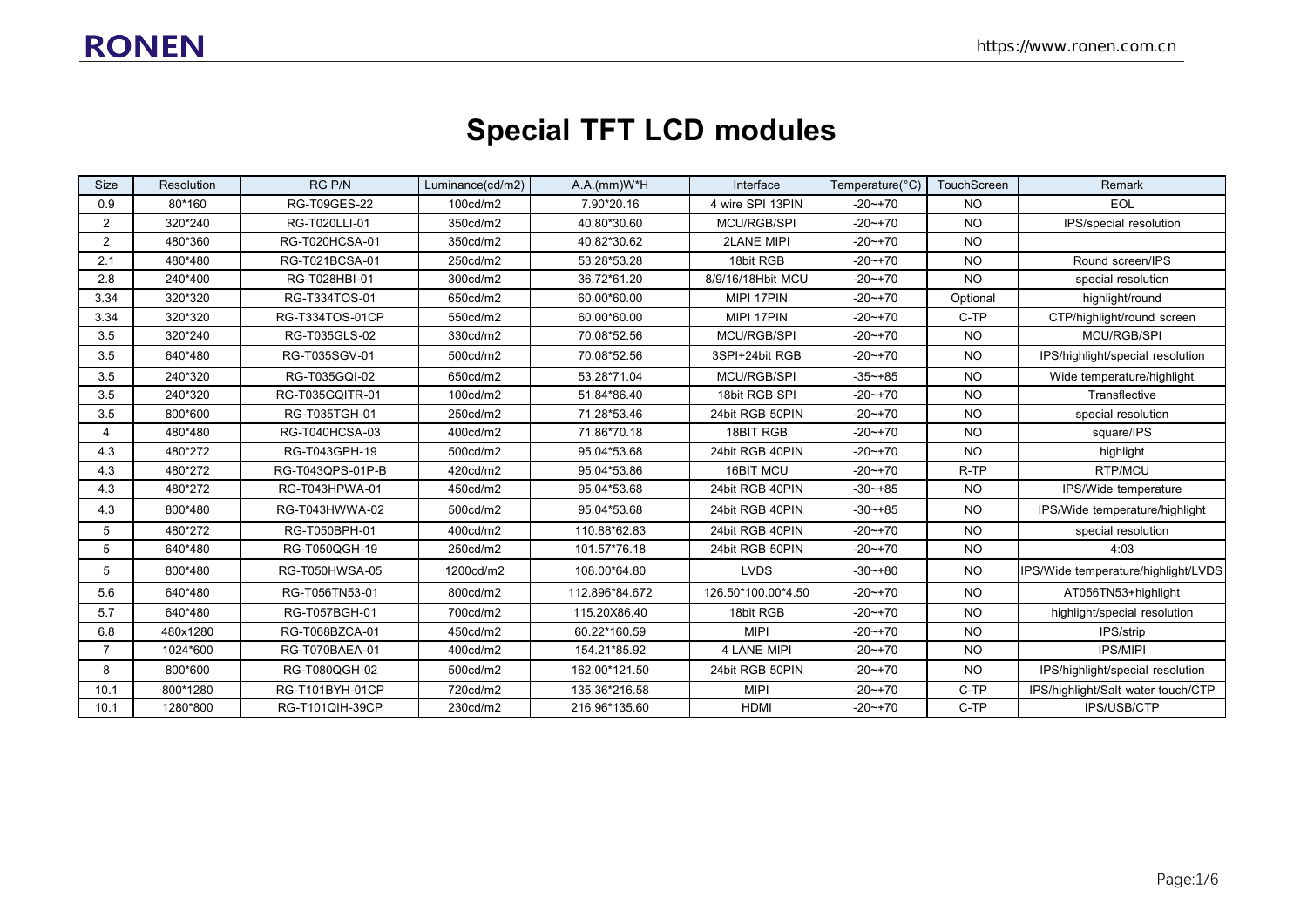# **Special TFT LCD modules**

| <b>Size</b>           | <b>Resolution</b> | RG P/N           | Luminance(cd/m2) | $A.A.(mm)W^*H$ | Interface          | Temperature(°C) | TouchScreen | Remark                              |  |
|-----------------------|-------------------|------------------|------------------|----------------|--------------------|-----------------|-------------|-------------------------------------|--|
| 0.9                   | 80*160            | RG-T09GES-22     | 100cd/m2         | 7.90*20.16     | 4 wire SPI 13PIN   | $-20$ ~+70      | <b>NO</b>   | <b>EOL</b>                          |  |
| 2                     | 320*240           | RG-T020LLI-01    | 350cd/m2         | 40.80*30.60    | <b>MCU/RGB/SPI</b> | $-20$ ~+70      | <b>NO</b>   | IPS/special resolution              |  |
| 2                     | 480*360           | RG-T020HCSA-01   | 350cd/m2         | 40.82*30.62    | <b>2LANE MIPI</b>  | $-20$ ~ +70     | <b>NO</b>   |                                     |  |
| 2.1                   | 480*480           | RG-T021BCSA-01   | 250cd/m2         | 53.28*53.28    | 18bit RGB          | $-20$ ~ +70     | <b>NO</b>   | Round screen/IPS                    |  |
| 2.8                   | 240*400           | RG-T028HBI-01    | 300cd/m2         | 36.72*61.20    | 8/9/16/18Hbit MCU  | $-20$ ~ +70     | <b>NO</b>   | special resolution                  |  |
| 3.34                  | 320*320           | RG-T334TOS-01    | 650cd/m2         | 60.00*60.00    | MIPI 17PIN         | $-20$ ~ +70     | Optional    | highlight/round                     |  |
| 3.34                  | 320*320           | RG-T334TOS-01CP  | 550cd/m2         | 60.00*60.00    | MIPI 17PIN         | $-20$ ~ +70     | C-TP        | CTP/highlight/round screen          |  |
| 3.5                   | 320*240           | RG-T035GLS-02    | 330cd/m2         | 70.08*52.56    | <b>MCU/RGB/SPI</b> | $-20$ ~ +70     | <b>NO</b>   | <b>MCU/RGB/SPI</b>                  |  |
| 3.5                   | 640*480           | RG-T035SGV-01    | 500cd/m2         | 70.08*52.56    | 3SPI+24bit RGB     | $-20$ ~ +70     | <b>NO</b>   | IPS/highlight/special resolution    |  |
| 3.5                   | 240*320           | RG-T035GQI-02    | 650cd/m2         | 53.28*71.04    | <b>MCU/RGB/SPI</b> | $-35 - +85$     | <b>NO</b>   | Wide temperature/highlight          |  |
| 3.5                   | 240*320           | RG-T035GQITR-01  | 100cd/m2         | 51.84*86.40    | 18bit RGB SPI      | $-20$ $-170$    | <b>NO</b>   | Transflective                       |  |
| 3.5                   | 800*600           | RG-T035TGH-01    | 250cd/m2         | 71.28*53.46    | 24bit RGB 50PIN    | $-20$ ~ +70     | <b>NO</b>   | special resolution                  |  |
| $\boldsymbol{\Delta}$ | 480*480           | RG-T040HCSA-03   | 400cd/m2         | 71.86*70.18    | 18BIT RGB          | $-20$ ~+70      | <b>NO</b>   | square/IPS                          |  |
| 4.3                   | 480*272           | RG-T043GPH-19    | 500cd/m2         | 95.04*53.68    | 24bit RGB 40PIN    | $-20$ ~ +70     | <b>NO</b>   | highlight                           |  |
| 4.3                   | 480*272           | RG-T043QPS-01P-B | 420cd/m2         | 95.04*53.86    | 16BIT MCU          | $-20$ $-170$    | R-TP        | RTP/MCU                             |  |
| 4.3                   | 480*272           | RG-T043HPWA-01   | 450cd/m2         | 95.04*53.68    | 24bit RGB 40PIN    | $-30$ $-+85$    | <b>NO</b>   | IPS/Wide temperature                |  |
| 4.3                   | 800*480           | RG-T043HWWA-02   | 500cd/m2         | 95.04*53.68    | 24bit RGB 40PIN    | $-30 - +85$     | <b>NO</b>   | IPS/Wide temperature/highlight      |  |
| 5                     | 480*272           | RG-T050BPH-01    | 400cd/m2         | 110.88*62.83   | 24bit RGB 40PIN    | $-20$ ~ +70     | <b>NO</b>   | special resolution                  |  |
| 5                     | 640*480           | RG-T050QGH-19    | 250cd/m2         | 101.57*76.18   | 24bit RGB 50PIN    | $-20$ ~+70      | <b>NO</b>   | 4:03                                |  |
| 5                     | 800*480           | RG-T050HWSA-05   | 1200cd/m2        | 108.00*64.80   | <b>LVDS</b>        | $-30 - +80$     | <b>NO</b>   | IPS/Wide temperature/highlight/LVDS |  |
| 5.6                   | 640*480           | RG-T056TN53-01   | 800cd/m2         | 112.896*84.672 | 126.50*100.00*4.50 | $-20$ ~ +70     | <b>NO</b>   | AT056TN53+highlight                 |  |
| 5.7                   | 640*480           | RG-T057BGH-01    | 700cd/m2         | 115.20X86.40   | 18bit RGB          | $-20$ ~ +70     | <b>NO</b>   | highlight/special resolution        |  |
| 6.8                   | 480x1280          | RG-T068BZCA-01   | 450cd/m2         | 60.22*160.59   | <b>MIPI</b>        | $-20$ ~ +70     | <b>NO</b>   | IPS/strip                           |  |
| 7                     | 1024*600          | RG-T070BAEA-01   | 400cd/m2         | 154.21*85.92   | <b>4 LANE MIPI</b> | $-20$ $-170$    | <b>NO</b>   | IPS/MIPI                            |  |
| 8                     | 800*600           | RG-T080QGH-02    | 500cd/m2         | 162.00*121.50  | 24bit RGB 50PIN    | $-20$ ~ +70     | <b>NO</b>   | IPS/highlight/special resolution    |  |
| 10.1                  | 800*1280          | RG-T101BYH-01CP  | 720cd/m2         | 135.36*216.58  | <b>MIPI</b>        | $-20$ ~ +70     | C-TP        | IPS/highlight/Salt water touch/CTP  |  |
| 10.1                  | 1280*800          | RG-T101QIH-39CP  | 230cd/m2         | 216.96*135.60  | <b>HDMI</b>        | $-20$ ~ +70     | C-TP        | IPS/USB/CTP                         |  |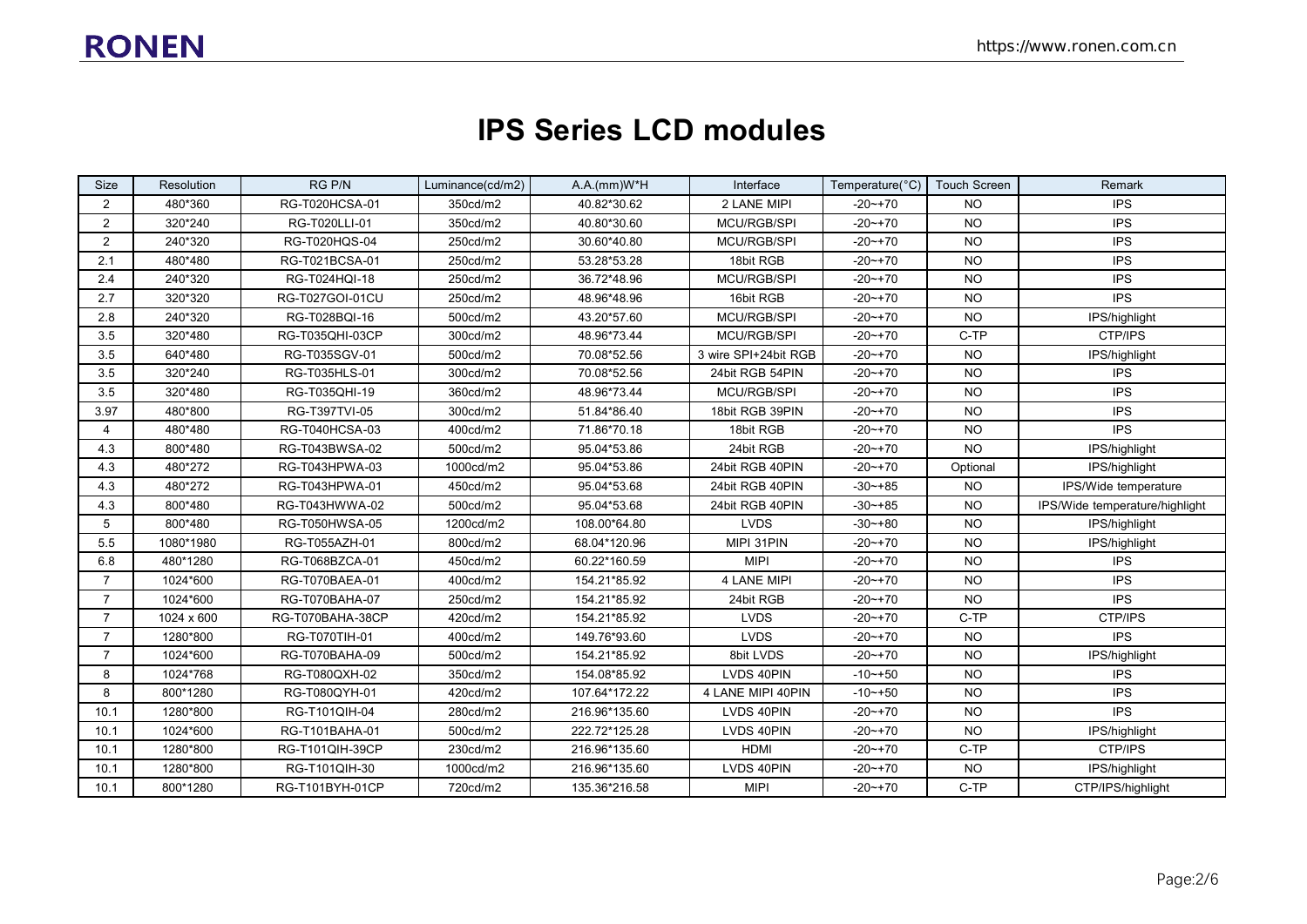### **IPS Series LCD modules**

| Size           | Resolution | RG P/N           | Luminance(cd/m2) | $A.A.(mm)W^*H$ | Interface            | Temperature(°C)   Touch Screen |           | Remark                         |
|----------------|------------|------------------|------------------|----------------|----------------------|--------------------------------|-----------|--------------------------------|
| 2              | 480*360    | RG-T020HCSA-01   | 350cd/m2         | 40.82*30.62    | 2 LANE MIPI          | $-20$ ~+70                     | NO.       | <b>IPS</b>                     |
| $\overline{2}$ | 320*240    | RG-T020LLI-01    | 350cd/m2         | 40.80*30.60    | MCU/RGB/SPI          | $-20$ ~ +70                    | <b>NO</b> | <b>IPS</b>                     |
| $\overline{2}$ | 240*320    | RG-T020HQS-04    | 250cd/m2         | 30.60*40.80    | MCU/RGB/SPI          | $-20$ ~ +70                    | <b>NO</b> | <b>IPS</b>                     |
| 2.1            | 480*480    | RG-T021BCSA-01   | 250cd/m2         | 53.28*53.28    | 18bit RGB            | $-20$ ~ +70                    | <b>NO</b> | <b>IPS</b>                     |
| 2.4            | 240*320    | RG-T024HQI-18    | 250cd/m2         | 36.72*48.96    | <b>MCU/RGB/SPI</b>   | -20~+70                        | NO.       | <b>IPS</b>                     |
| 2.7            | 320*320    | RG-T027GOI-01CU  | 250cd/m2         | 48.96*48.96    | 16bit RGB            | $-20$ ~ +70                    | <b>NO</b> | <b>IPS</b>                     |
| 2.8            | 240*320    | RG-T028BQI-16    | 500cd/m2         | 43.20*57.60    | MCU/RGB/SPI          | $-20 - +70$                    | <b>NO</b> | IPS/highlight                  |
| 3.5            | 320*480    | RG-T035QHI-03CP  | 300cd/m2         | 48.96*73.44    | <b>MCU/RGB/SPI</b>   | $-20$ ~ +70                    | C-TP      | CTP/IPS                        |
| 3.5            | 640*480    | RG-T035SGV-01    | 500cd/m2         | 70.08*52.56    | 3 wire SPI+24bit RGB | $-20$ ~ +70                    | <b>NO</b> | IPS/highlight                  |
| 3.5            | 320*240    | RG-T035HLS-01    | 300cd/m2         | 70.08*52.56    | 24bit RGB 54PIN      | $-20$ ~ +70                    | <b>NO</b> | <b>IPS</b>                     |
| 3.5            | 320*480    | RG-T035QHI-19    | 360cd/m2         | 48.96*73.44    | MCU/RGB/SPI          | $-20$ ~ +70                    | <b>NO</b> | <b>IPS</b>                     |
| 3.97           | 480*800    | RG-T397TVI-05    | 300cd/m2         | 51.84*86.40    | 18bit RGB 39PIN      | $-20$ ~ +70                    | <b>NO</b> | <b>IPS</b>                     |
| 4              | 480*480    | RG-T040HCSA-03   | 400cd/m2         | 71.86*70.18    | 18bit RGB            | $-20$ ~+70                     | NO.       | <b>IPS</b>                     |
| 4.3            | 800*480    | RG-T043BWSA-02   | 500cd/m2         | 95.04*53.86    | 24bit RGB            | $-20$ ~ +70                    | <b>NO</b> | IPS/highlight                  |
| 4.3            | 480*272    | RG-T043HPWA-03   | 1000cd/m2        | 95.04*53.86    | 24bit RGB 40PIN      | -20~+70                        | Optional  | IPS/highlight                  |
| 4.3            | 480*272    | RG-T043HPWA-01   | 450cd/m2         | 95.04*53.68    | 24bit RGB 40PIN      | $-30$ $-+85$                   | <b>NO</b> | IPS/Wide temperature           |
| 4.3            | 800*480    | RG-T043HWWA-02   | 500cd/m2         | 95.04*53.68    | 24bit RGB 40PIN      | $-30$ $-+85$                   | <b>NO</b> | IPS/Wide temperature/highlight |
| 5              | 800*480    | RG-T050HWSA-05   | 1200cd/m2        | 108.00*64.80   | <b>LVDS</b>          | $-30 - +80$                    | <b>NO</b> | IPS/highlight                  |
| 5.5            | 1080*1980  | RG-T055AZH-01    | 800cd/m2         | 68.04*120.96   | MIPI 31PIN           | $-20$ ~ +70                    | <b>NO</b> | IPS/highlight                  |
| 6.8            | 480*1280   | RG-T068BZCA-01   | 450cd/m2         | 60.22*160.59   | <b>MIPI</b>          | $-20$ ~+70                     | <b>NO</b> | <b>IPS</b>                     |
| $\overline{7}$ | 1024*600   | RG-T070BAEA-01   | 400cd/m2         | 154.21*85.92   | 4 LANE MIPI          | -20~+70                        | <b>NO</b> | <b>IPS</b>                     |
| $\overline{7}$ | 1024*600   | RG-T070BAHA-07   | 250cd/m2         | 154.21*85.92   | 24bit RGB            | $-20$ ~ +70                    | <b>NO</b> | <b>IPS</b>                     |
| $\overline{7}$ | 1024 x 600 | RG-T070BAHA-38CP | 420cd/m2         | 154.21*85.92   | <b>LVDS</b>          | $-20$ ~ +70                    | C-TP      | CTP/IPS                        |
| $\overline{7}$ | 1280*800   | RG-T070TIH-01    | 400cd/m2         | 149.76*93.60   | <b>LVDS</b>          | $-20$ ~ +70                    | <b>NO</b> | <b>IPS</b>                     |
| $\overline{7}$ | 1024*600   | RG-T070BAHA-09   | 500cd/m2         | 154.21*85.92   | 8bit LVDS            | $-20$ ~+70                     | <b>NO</b> | IPS/highlight                  |
| 8              | 1024*768   | RG-T080QXH-02    | 350cd/m2         | 154.08*85.92   | LVDS 40PIN           | $-10 - +50$                    | <b>NO</b> | <b>IPS</b>                     |
| 8              | 800*1280   | RG-T080QYH-01    | 420cd/m2         | 107.64*172.22  | 4 LANE MIPI 40PIN    | $-10$ $ +50$                   | <b>NO</b> | <b>IPS</b>                     |
| 10.1           | 1280*800   | RG-T101QIH-04    | 280cd/m2         | 216.96*135.60  | LVDS 40PIN           | $-20 - +70$                    | <b>NO</b> | <b>IPS</b>                     |
| 10.1           | 1024*600   | RG-T101BAHA-01   | 500cd/m2         | 222.72*125.28  | LVDS 40PIN           | $-20$ ~+70                     | <b>NO</b> | IPS/highlight                  |
| 10.1           | 1280*800   | RG-T101QIH-39CP  | 230cd/m2         | 216.96*135.60  | HDMI                 | $-20$ ~ +70                    | C-TP      | CTP/IPS                        |
| 10.1           | 1280*800   | RG-T101QIH-30    | 1000cd/m2        | 216.96*135.60  | LVDS 40PIN           | $-20$ ~ +70                    | <b>NO</b> | IPS/highlight                  |
| 10.1           | 800*1280   | RG-T101BYH-01CP  | 720cd/m2         | 135.36*216.58  | <b>MIPI</b>          | $-20$ ~ +70                    | C-TP      | CTP/IPS/highlight              |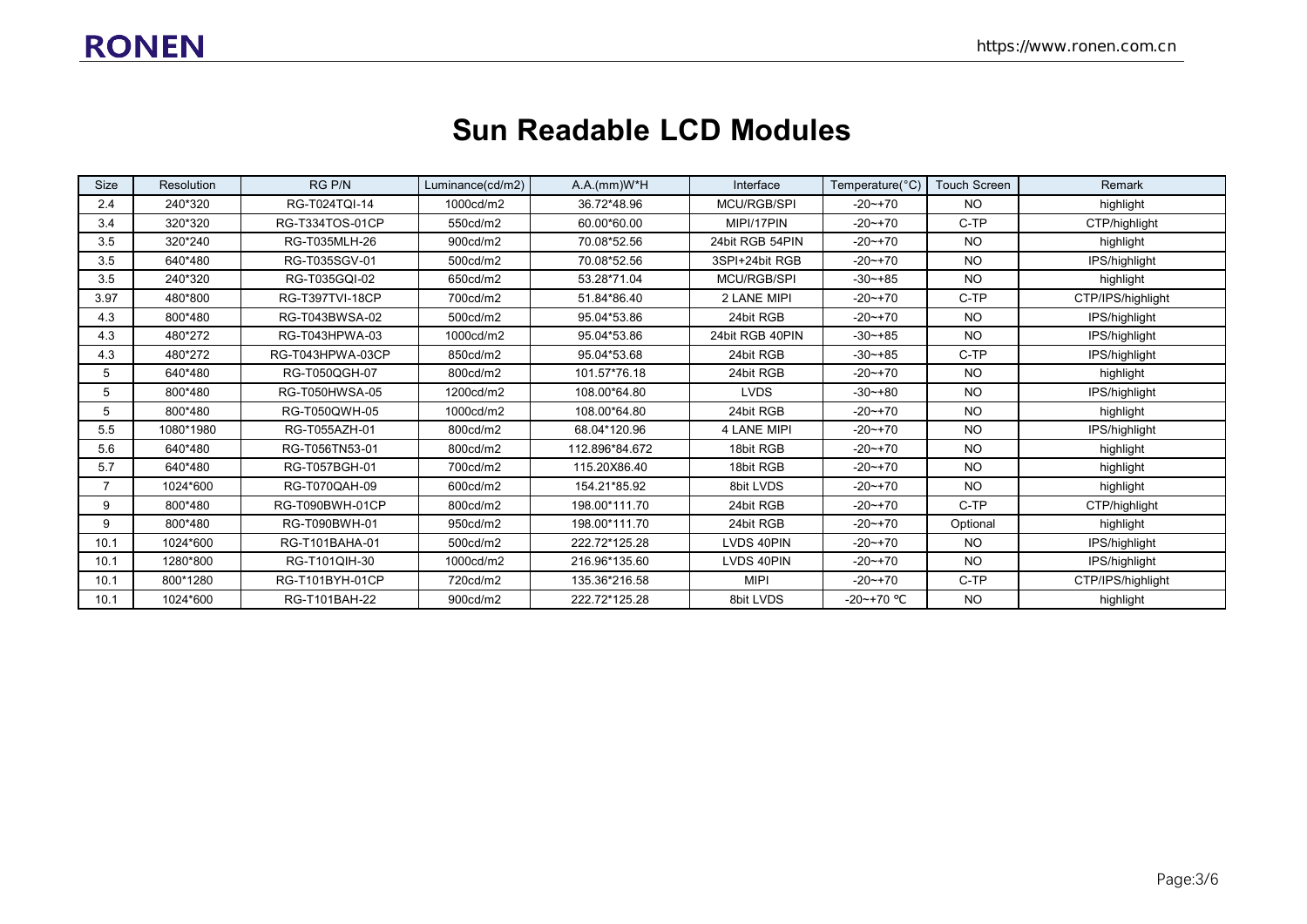### **Sun Readable LCD Modules**

| <b>Size</b> | Resolution | RG P/N                 | Luminance(cd/m2) | A.A.(mm)W*H    | Interface          | Temperature(°C) | <b>Touch Screen</b> | Remark            |
|-------------|------------|------------------------|------------------|----------------|--------------------|-----------------|---------------------|-------------------|
| 2.4         | 240*320    | RG-T024TQI-14          | 1000cd/m2        | 36.72*48.96    | MCU/RGB/SPI        | $-20$ ~+70      | NO.                 | highlight         |
| 3.4         | 320*320    | RG-T334TOS-01CP        | 550cd/m2         | 60.00*60.00    | MIPI/17PIN         | $-20$ ~ +70     | C-TP                | CTP/highlight     |
| 3.5         | 320*240    | RG-T035MLH-26          | 900cd/m2         | 70.08*52.56    | 24bit RGB 54PIN    | $-20 - +70$     | NO.                 | highlight         |
| 3.5         | 640*480    | RG-T035SGV-01          | 500cd/m2         | 70.08*52.56    | 3SPI+24bit RGB     | $-20$ ~ +70     | NO.                 | IPS/highlight     |
| 3.5         | 240*320    | RG-T035GQI-02          | 650cd/m2         | 53.28*71.04    | <b>MCU/RGB/SPI</b> | $-30 - +85$     | <b>NO</b>           | highlight         |
| 3.97        | 480*800    | <b>RG-T397TVI-18CP</b> | 700cd/m2         | 51.84*86.40    | 2 LANE MIPI        | $-20$ ~+70      | C-TP                | CTP/IPS/highlight |
| 4.3         | 800*480    | RG-T043BWSA-02         | 500cd/m2         | 95.04*53.86    | 24bit RGB          | $-20$ ~ +70     | <b>NO</b>           | IPS/highlight     |
| 4.3         | 480*272    | RG-T043HPWA-03         | 1000cd/m2        | 95.04*53.86    | 24bit RGB 40PIN    | $-30 - +85$     | <b>NO</b>           | IPS/highlight     |
| 4.3         | 480*272    | RG-T043HPWA-03CP       | 850cd/m2         | 95.04*53.68    | 24bit RGB          | $-30 - +85$     | C-TP                | IPS/highlight     |
| 5           | 640*480    | RG-T050QGH-07          | 800cd/m2         | 101.57*76.18   | 24bit RGB          | $-20$ ~+70      | NO.                 | highlight         |
| 5           | 800*480    | RG-T050HWSA-05         | 1200cd/m2        | 108.00*64.80   | <b>LVDS</b>        | $-30 - +80$     | NO.                 | IPS/highlight     |
| 5           | 800*480    | RG-T050QWH-05          | 1000cd/m2        | 108.00*64.80   | 24bit RGB          | $-20$ ~ +70     | <b>NO</b>           | highlight         |
| 5.5         | 1080*1980  | RG-T055AZH-01          | 800cd/m2         | 68.04*120.96   | 4 LANE MIPI        | $-20 - +70$     | <b>NO</b>           | IPS/highlight     |
| 5.6         | 640*480    | RG-T056TN53-01         | 800cd/m2         | 112.896*84.672 | 18bit RGB          | $-20$ ~+70      | <b>NO</b>           | highlight         |
| 5.7         | 640*480    | RG-T057BGH-01          | 700cd/m2         | 115.20X86.40   | 18bit RGB          | $-20$ ~ +70     | NO.                 | highlight         |
|             | 1024*600   | RG-T070QAH-09          | 600cd/m2         | 154.21*85.92   | 8bit LVDS          | $-20$ ~ +70     | <b>NO</b>           | highlight         |
| 9           | 800*480    | RG-T090BWH-01CP        | 800cd/m2         | 198.00*111.70  | 24bit RGB          | $-20 - +70$     | C-TP                | CTP/highlight     |
| 9           | 800*480    | RG-T090BWH-01          | 950cd/m2         | 198.00*111.70  | 24bit RGB          | $-20$ ~ +70     | Optional            | highlight         |
| 10.1        | 1024*600   | RG-T101BAHA-01         | 500cd/m2         | 222.72*125.28  | LVDS 40PIN         | $-20$ ~ +70     | NO.                 | IPS/highlight     |
| 10.1        | 1280*800   | RG-T101QIH-30          | 1000cd/m2        | 216.96*135.60  | LVDS 40PIN         | $-20$ ~ +70     | <b>NO</b>           | IPS/highlight     |
| 10.1        | 800*1280   | RG-T101BYH-01CP        | 720cd/m2         | 135.36*216.58  | <b>MIPI</b>        | $-20$ ~ +70     | C-TP                | CTP/IPS/highlight |
| 10.1        | 1024*600   | RG-T101BAH-22          | 900cd/m2         | 222.72*125.28  | 8bit LVDS          | $-20$ ~+70 °C   | <b>NO</b>           | highlight         |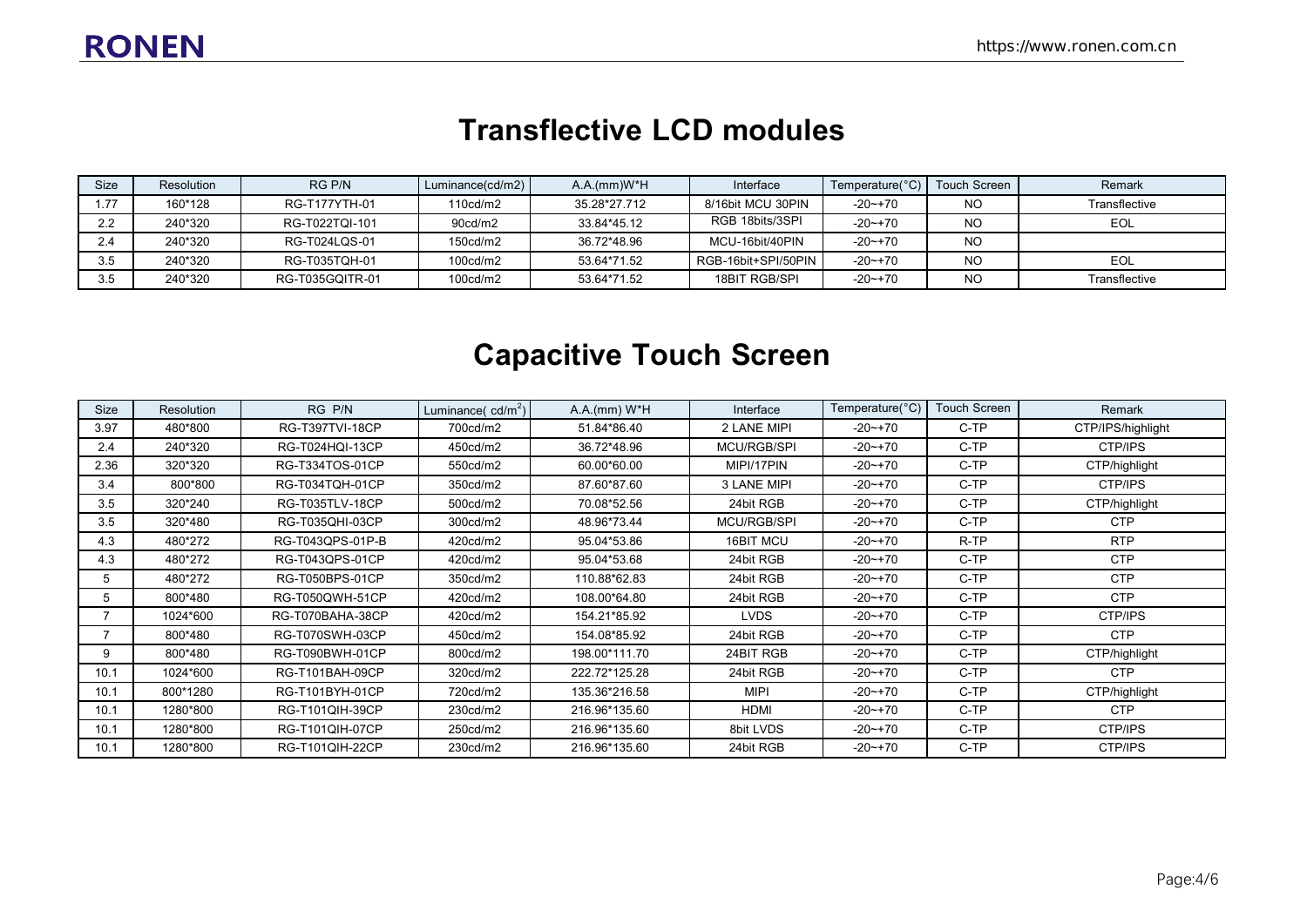#### **Transflective LCD modules**

| <b>Size</b>  | Resolution | RG P/N          | Luminance(cd/m2)      | $A.A.(mm)W^*H$ | Interface           | Temperature(°C) | Touch Screen | Remark        |
|--------------|------------|-----------------|-----------------------|----------------|---------------------|-----------------|--------------|---------------|
| .77          | 160*128    | RG-T177YTH-01   | 110cd/m2              | 35.28*27.712   | 8/16bit MCU 30PIN   | $-20$ ~ +70     | <b>NO</b>    | Transflective |
| っっ<br>$\sim$ | 240*320    | RG-T022TQI-101  | 90 <sub>cd</sub> /m2  | 33.84*45.12    | RGB 18bits/3SPI     | $-20$ ~ +70     | <b>NO</b>    | EOL           |
| 2.4          | 240*320    | RG-T024LQS-01   | 150 <sub>cd</sub> /m2 | 36.72*48.96    | MCU-16bit/40PIN     | $-20$ ~+70      | <b>NO</b>    |               |
| 3.5          | 240*320    | RG-T035TQH-01   | 100 <sub>cd</sub> /m2 | 53.64*71.52    | RGB-16bit+SPI/50PIN | -20~+70         | <b>NO</b>    | EOL           |
| 3.5          | 240*320    | RG-T035GQITR-01 | 100cd/m2              | 53.64*71.52    | 18BIT RGB/SPI       | $-20$ ~ +70     | <b>NO</b>    | Transflective |

## **Capacitive Touch Screen**

| <b>Size</b> | <b>Resolution</b> | RG P/N                 | Luminance( $cd/m^2$ ) | $A.A.(mm) W*H$ | Interface          | Temperature(°C) | Touch Screen | Remark            |
|-------------|-------------------|------------------------|-----------------------|----------------|--------------------|-----------------|--------------|-------------------|
| 3.97        | 480*800           | <b>RG-T397TVI-18CP</b> | 700cd/m2              | 51.84*86.40    | 2 LANE MIPI        | $-20$ ~+70      | C-TP         | CTP/IPS/highlight |
| 2.4         | 240*320           | RG-T024HQI-13CP        | 450cd/m2              | 36.72*48.96    | MCU/RGB/SPI        | $-20$ $-170$    | C-TP         | CTP/IPS           |
| 2.36        | 320*320           | RG-T334TOS-01CP        | 550cd/m2              | 60.00*60.00    | MIPI/17PIN         | $-20$ $-170$    | C-TP         | CTP/highlight     |
| 3.4         | 800*800           | RG-T034TQH-01CP        | 350cd/m2              | 87.60*87.60    | 3 LANE MIPI        | $-20$ $-170$    | C-TP         | CTP/IPS           |
| 3.5         | 320*240           | RG-T035TLV-18CP        | 500cd/m2              | 70.08*52.56    | 24bit RGB          | $-20$ $-170$    | C-TP         | CTP/highlight     |
| 3.5         | 320*480           | RG-T035QHI-03CP        | 300cd/m2              | 48.96*73.44    | <b>MCU/RGB/SPI</b> | $-20$ ~ +70     | C-TP         | <b>CTP</b>        |
| 4.3         | 480*272           | RG-T043QPS-01P-B       | 420cd/m2              | 95.04*53.86    | <b>16BIT MCU</b>   | $-20$ $-170$    | R-TP         | <b>RTP</b>        |
| 4.3         | 480*272           | RG-T043QPS-01CP        | 420cd/m2              | 95.04*53.68    | 24bit RGB          | $-20$ $-170$    | C-TP         | <b>CTP</b>        |
| 5           | 480*272           | RG-T050BPS-01CP        | 350cd/m2              | 110.88*62.83   | 24bit RGB          | $-20$ $-170$    | C-TP         | <b>CTP</b>        |
| 5           | 800*480           | RG-T050QWH-51CP        | 420cd/m2              | 108.00*64.80   | 24bit RGB          | $-20$ $-170$    | C-TP         | <b>CTP</b>        |
|             | 1024*600          | RG-T070BAHA-38CP       | 420cd/m2              | 154.21*85.92   | <b>LVDS</b>        | $-20$ $-170$    | C-TP         | CTP/IPS           |
|             | 800*480           | RG-T070SWH-03CP        | 450cd/m2              | 154.08*85.92   | 24bit RGB          | $-20$ $-170$    | C-TP         | <b>CTP</b>        |
| 9           | 800*480           | RG-T090BWH-01CP        | 800cd/m2              | 198.00*111.70  | 24BIT RGB          | $-20$ $-170$    | C-TP         | CTP/highlight     |
| 10.1        | 1024*600          | RG-T101BAH-09CP        | 320cd/m2              | 222.72*125.28  | 24bit RGB          | $-20$ $-170$    | C-TP         | <b>CTP</b>        |
| 10.1        | 800*1280          | RG-T101BYH-01CP        | 720cd/m2              | 135.36*216.58  | <b>MIPI</b>        | $-20$ ~+70      | C-TP         | CTP/highlight     |
| 10.1        | 1280*800          | RG-T101QIH-39CP        | 230cd/m2              | 216.96*135.60  | <b>HDMI</b>        | $-20$ ~+70      | C-TP         | <b>CTP</b>        |
| 10.1        | 1280*800          | <b>RG-T101QIH-07CP</b> | 250cd/m2              | 216.96*135.60  | 8bit LVDS          | $-20$ ~+70      | C-TP         | CTP/IPS           |
| 10.1        | 1280*800          | RG-T101QIH-22CP        | 230cd/m2              | 216.96*135.60  | 24bit RGB          | $-20$ $-170$    | C-TP         | CTP/IPS           |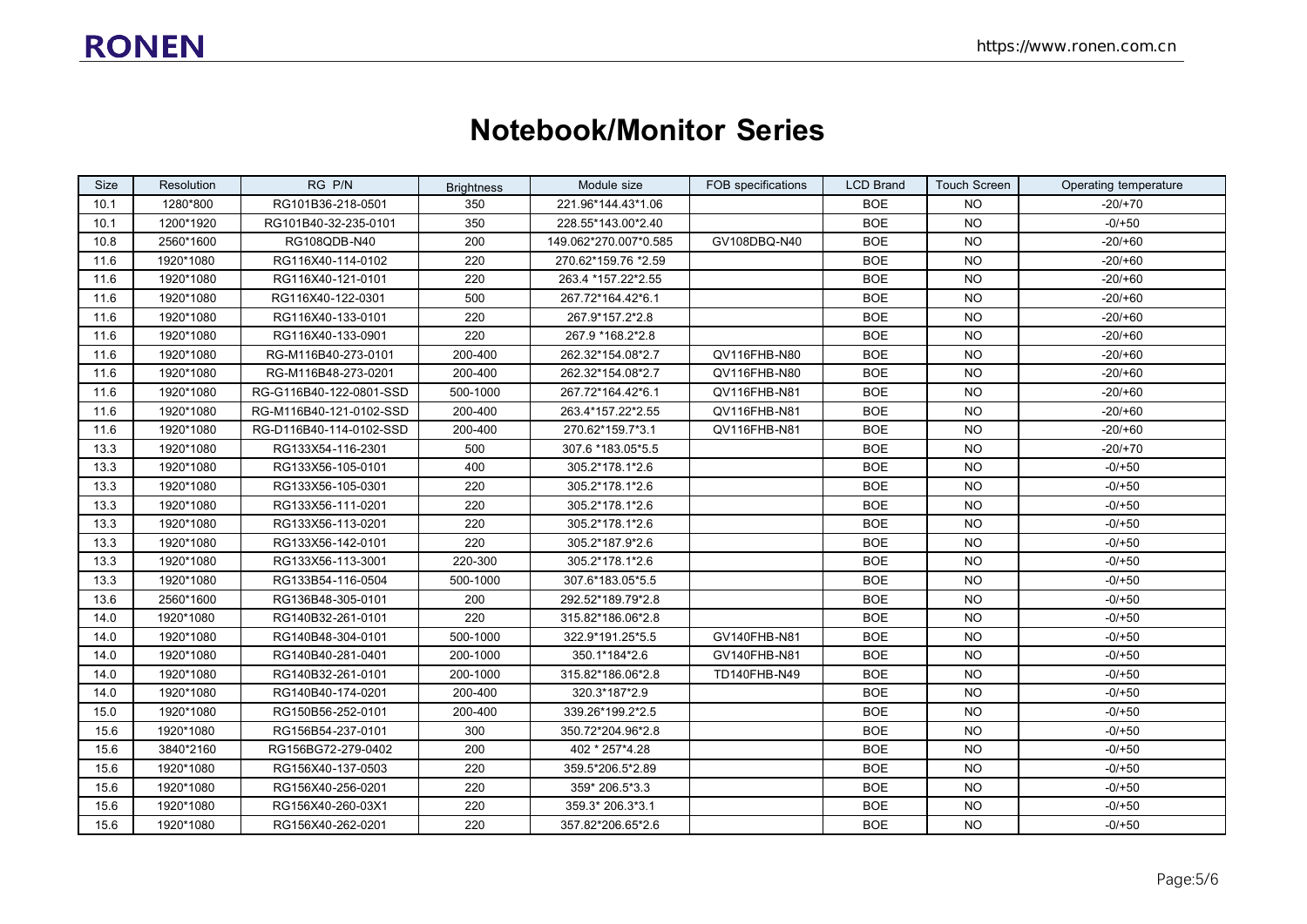#### **Notebook/Monitor Series**

| Size | Resolution | RG P/N                  | <b>Brightness</b> | Module size           | FOB specifications | <b>LCD Brand</b> | <b>Touch Screen</b> | Operating temperature |
|------|------------|-------------------------|-------------------|-----------------------|--------------------|------------------|---------------------|-----------------------|
| 10.1 | 1280*800   | RG101B36-218-0501       | 350               | 221.96*144.43*1.06    |                    | <b>BOE</b>       | NO.                 | -20/+70               |
| 10.1 | 1200*1920  | RG101B40-32-235-0101    | 350               | 228.55*143.00*2.40    |                    | <b>BOE</b>       | NO.                 | $-0/+50$              |
| 10.8 | 2560*1600  | RG108QDB-N40            | 200               | 149.062*270.007*0.585 | GV108DBQ-N40       | <b>BOE</b>       | <b>NO</b>           | $-20/60$              |
| 11.6 | 1920*1080  | RG116X40-114-0102       | 220               | 270.62*159.76 *2.59   |                    | <b>BOE</b>       | <b>NO</b>           | $-20/+60$             |
| 11.6 | 1920*1080  | RG116X40-121-0101       | 220               | 263.4 *157.22*2.55    |                    | <b>BOE</b>       | <b>NO</b>           | $-20/+60$             |
| 11.6 | 1920*1080  | RG116X40-122-0301       | 500               | 267.72*164.42*6.1     |                    | <b>BOE</b>       | <b>NO</b>           | $-20/60$              |
| 11.6 | 1920*1080  | RG116X40-133-0101       | 220               | 267.9*157.2*2.8       |                    | <b>BOE</b>       | NO.                 | $-20/+60$             |
| 11.6 | 1920*1080  | RG116X40-133-0901       | 220               | 267.9 *168.2*2.8      |                    | <b>BOE</b>       | <b>NO</b>           | $-20/+60$             |
| 11.6 | 1920*1080  | RG-M116B40-273-0101     | 200-400           | 262.32*154.08*2.7     | QV116FHB-N80       | <b>BOE</b>       | <b>NO</b>           | $-20/+60$             |
| 11.6 | 1920*1080  | RG-M116B48-273-0201     | 200-400           | 262.32*154.08*2.7     | QV116FHB-N80       | <b>BOE</b>       | NO.                 | $-20/60$              |
| 11.6 | 1920*1080  | RG-G116B40-122-0801-SSD | 500-1000          | 267.72*164.42*6.1     | QV116FHB-N81       | <b>BOE</b>       | <b>NO</b>           | $-20/60$              |
| 11.6 | 1920*1080  | RG-M116B40-121-0102-SSD | 200-400           | 263.4*157.22*2.55     | QV116FHB-N81       | <b>BOE</b>       | <b>NO</b>           | $-20/+60$             |
| 11.6 | 1920*1080  | RG-D116B40-114-0102-SSD | 200-400           | 270.62*159.7*3.1      | QV116FHB-N81       | <b>BOE</b>       | <b>NO</b>           | $-20/+60$             |
| 13.3 | 1920*1080  | RG133X54-116-2301       | 500               | 307.6 *183.05 * 5.5   |                    | <b>BOE</b>       | <b>NO</b>           | $-20/+70$             |
| 13.3 | 1920*1080  | RG133X56-105-0101       | 400               | 305.2*178.1*2.6       |                    | <b>BOE</b>       | <b>NO</b>           | $-0/+50$              |
| 13.3 | 1920*1080  | RG133X56-105-0301       | 220               | 305.2*178.1*2.6       |                    | <b>BOE</b>       | <b>NO</b>           | $-0/+50$              |
| 13.3 | 1920*1080  | RG133X56-111-0201       | 220               | 305.2*178.1*2.6       |                    | <b>BOE</b>       | <b>NO</b>           | $-0/+50$              |
| 13.3 | 1920*1080  | RG133X56-113-0201       | 220               | 305.2*178.1*2.6       |                    | <b>BOE</b>       | NO.                 | $-0/+50$              |
| 13.3 | 1920*1080  | RG133X56-142-0101       | 220               | 305.2*187.9*2.6       |                    | <b>BOE</b>       | <b>NO</b>           | $-0/+50$              |
| 13.3 | 1920*1080  | RG133X56-113-3001       | 220-300           | 305.2*178.1*2.6       |                    | <b>BOE</b>       | NO.                 | $-0/+50$              |
| 13.3 | 1920*1080  | RG133B54-116-0504       | 500-1000          | 307.6*183.05*5.5      |                    | <b>BOE</b>       | <b>NO</b>           | $-0/+50$              |
| 13.6 | 2560*1600  | RG136B48-305-0101       | 200               | 292.52*189.79*2.8     |                    | <b>BOE</b>       | <b>NO</b>           | $-0/+50$              |
| 14.0 | 1920*1080  | RG140B32-261-0101       | 220               | 315.82*186.06*2.8     |                    | <b>BOE</b>       | NO.                 | $-0/+50$              |
| 14.0 | 1920*1080  | RG140B48-304-0101       | 500-1000          | 322.9*191.25*5.5      | GV140FHB-N81       | <b>BOE</b>       | <b>NO</b>           | $-0/+50$              |
| 14.0 | 1920*1080  | RG140B40-281-0401       | 200-1000          | 350.1*184*2.6         | GV140FHB-N81       | <b>BOE</b>       | <b>NO</b>           | $-0/+50$              |
| 14.0 | 1920*1080  | RG140B32-261-0101       | 200-1000          | 315.82*186.06*2.8     | TD140FHB-N49       | BOE              | NO.                 | $-0/+50$              |
| 14.0 | 1920*1080  | RG140B40-174-0201       | 200-400           | 320.3*187*2.9         |                    | <b>BOE</b>       | NO.                 | $-0/+50$              |
| 15.0 | 1920*1080  | RG150B56-252-0101       | 200-400           | 339.26*199.2*2.5      |                    | <b>BOE</b>       | <b>NO</b>           | $-0/+50$              |
| 15.6 | 1920*1080  | RG156B54-237-0101       | 300               | 350.72*204.96*2.8     |                    | <b>BOE</b>       | <b>NO</b>           | $-0/+50$              |
| 15.6 | 3840*2160  | RG156BG72-279-0402      | 200               | 402 * 257*4.28        |                    | <b>BOE</b>       | <b>NO</b>           | $-0/+50$              |
| 15.6 | 1920*1080  | RG156X40-137-0503       | 220               | 359.5*206.5*2.89      |                    | <b>BOE</b>       | <b>NO</b>           | $-0/+50$              |
| 15.6 | 1920*1080  | RG156X40-256-0201       | 220               | 359* 206.5*3.3        |                    | <b>BOE</b>       | NO.                 | $-0/+50$              |
| 15.6 | 1920*1080  | RG156X40-260-03X1       | 220               | 359.3* 206.3*3.1      |                    | <b>BOE</b>       | NO.                 | $-0/+50$              |
| 15.6 | 1920*1080  | RG156X40-262-0201       | 220               | 357.82*206.65*2.6     |                    | <b>BOE</b>       | NO.                 | $-0/+50$              |